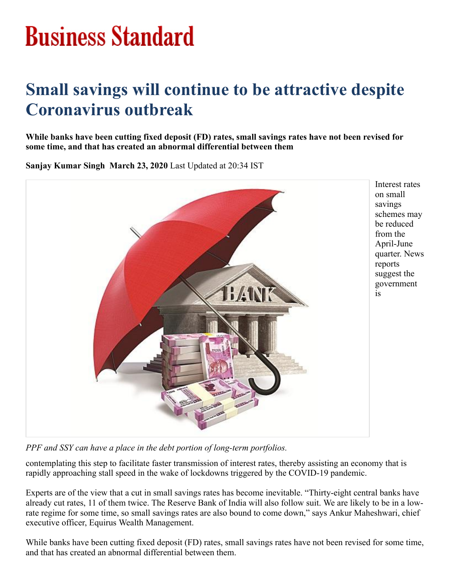## **Business Standard**

## **Small savings will continue to be attractive despite Coronavirus outbreak**

**While banks have been cutting fixed deposit (FD) rates, small savings rates have not been revised for some time, and that has created an abnormal differential between them**

**Sanjay Kumar Singh March 23, 2020** Last Updated at 20:34 IST



*PPF and SSY can have a place in the debt portion of long-term portfolios.*

contemplating this step to facilitate faster transmission of interest rates, thereby assisting an economy that is rapidly approaching stall speed in the wake of lockdowns triggered by the COVID-19 pandemic.

Experts are of the view that a cut in small savings rates has become inevitable. "Thirty-eight central banks have already cut rates, 11 of them twice. The Reserve Bank of India will also follow suit. We are likely to be in a lowrate regime for some time, so small savings rates are also bound to come down," says Ankur Maheshwari, chief executive officer, Equirus Wealth Management.

While banks have been cutting fixed deposit (FD) rates, small savings rates have not been revised for some time, and that has created an abnormal differential between them.